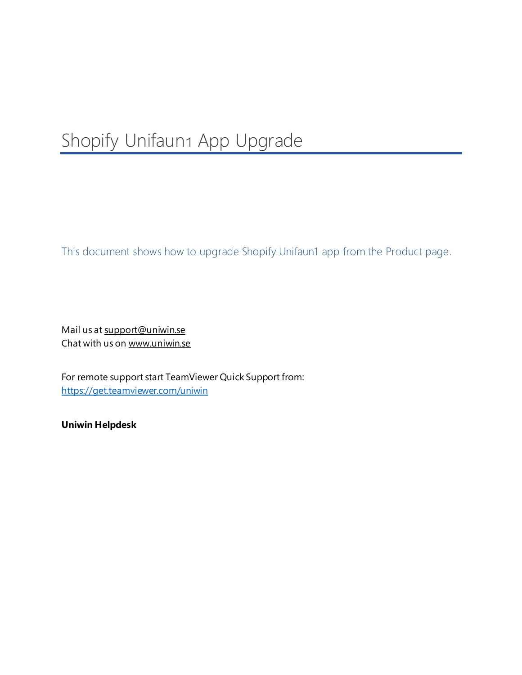# Shopify Unifaun1 App Upgrade

This document shows how to upgrade Shopify Unifaun1 app from the Product page.

Mail us a[t support@uniwin.se](mailto:support@uniwin.se) Chat with us o[n www.uniwin.se](http://www.uniwin.se/)

For remote support start TeamViewer Quick Support from: <https://get.teamviewer.com/uniwin>

**Uniwin Helpdesk**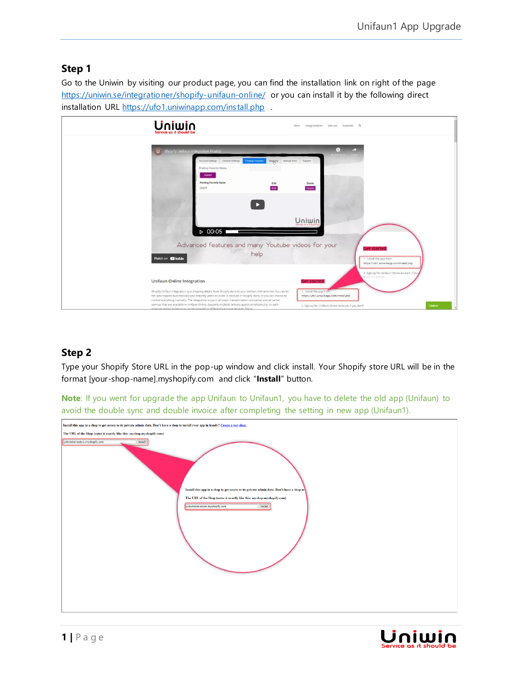# **Step 1**

Go to the Uniwin by visiting our product page, you can find the installation link on right of the page <https://uniwin.se/integrationer/shopify-unifaun-online/> or you can install it by the following direct installation URL<https://ufo1.uniwinapp.com/install.php> .

| Uniwin                              | Hem Integrationer Om oss Kontakt Q                                                                                                                                                                                                                                                                                                                                                                                                                                                                                                                                                                                                                                               |
|-------------------------------------|----------------------------------------------------------------------------------------------------------------------------------------------------------------------------------------------------------------------------------------------------------------------------------------------------------------------------------------------------------------------------------------------------------------------------------------------------------------------------------------------------------------------------------------------------------------------------------------------------------------------------------------------------------------------------------|
| U Shopify Unifaun Integration Promo | $\circ$                                                                                                                                                                                                                                                                                                                                                                                                                                                                                                                                                                                                                                                                          |
|                                     | Account Settings General Settings<br>Printing Enventors Magging Manual Sync Support<br>Printing Favorite Name<br>Submit<br><b>Printing Favorite Name</b><br>Edit<br>Delete                                                                                                                                                                                                                                                                                                                                                                                                                                                                                                       |
|                                     | DHLPF<br>Delete<br>Edit                                                                                                                                                                                                                                                                                                                                                                                                                                                                                                                                                                                                                                                          |
|                                     | Uniwin                                                                                                                                                                                                                                                                                                                                                                                                                                                                                                                                                                                                                                                                           |
| Watch on <b>C</b> YouTube           | $\triangleright$ 00:05<br>Advanced features and many Youtube videos for your<br><b>Get started</b><br>help<br>1. Install the app from<br>https://ufo1.uniwinapp.com/install.php                                                                                                                                                                                                                                                                                                                                                                                                                                                                                                  |
| <b>Unifaun Online Integration</b>   | 2. Sign up for Unifaun Online account, if you<br>lease was aforests.<br><b>Get started</b>                                                                                                                                                                                                                                                                                                                                                                                                                                                                                                                                                                                       |
|                                     | 1. Install the app from<br>Shopify Unifaun Integration sync shipping details from Shopify store to your Unifaun Online konto. You can let<br>the sync happen automatically and instantly when an order is received in Shopify store, or you can choose to<br>https://ufo1.uniwinapp.com/install.php<br>control everything manually. The integration support all major transportation companies and all carrier<br>services that are available in Unifaun Online. Supports multiple delivery agents simultanously, so each<br>Online<br>2. Sign up for Unifaun Online account, if you don't<br>shinning ontion in the store can be manned to different transport services. Foigul |

# **Step 2**

Type your Shopify Store URL in the pop-up window and click install. Your Shopify store URL will be in the format [your-shop-name].myshopify.com and click "**Install**" button.

**Note**: If you went for upgrade the app Unifaun to Unifaun1, you have to delete the old app (Unifaun) to avoid the double sync and double invoice after completing the setting in new app (Unifaun1).



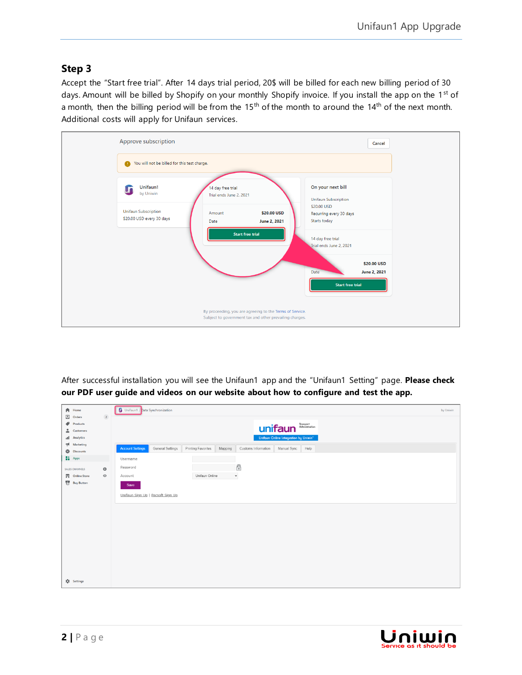### **Step 3**

Accept the "Start free trial". After 14 days trial period, 20\$ will be billed for each new billing period of 30 days. Amount will be billed by Shopify on your monthly Shopify invoice. If you install the app on the 1<sup>st</sup> of a month, then the billing period will be from the  $15<sup>th</sup>$  of the month to around the  $14<sup>th</sup>$  of the next month. Additional costs will apply for Unifaun services.

| Approve subscription                                                                   |                                                                                                                          | Cancel                                                                                                                                                                                                                       |
|----------------------------------------------------------------------------------------|--------------------------------------------------------------------------------------------------------------------------|------------------------------------------------------------------------------------------------------------------------------------------------------------------------------------------------------------------------------|
| You will not be billed for this test charge.<br>œ                                      |                                                                                                                          |                                                                                                                                                                                                                              |
| Unifaun1<br>G<br>by Uniwin<br><b>Unifaun Subscription</b><br>\$20.00 USD every 30 days | 14 day free trial<br>Trial ends June 2, 2021<br>\$20.00 USD<br>Amount<br>June 2, 2021<br>Date<br><b>Start free trial</b> | On your next bill<br><b>Unifaun Subscription</b><br>\$20.00 USD<br>Recurring every 30 days<br>Starts today<br>14 day free trial<br>Trial ends June 2, 2021<br>\$20,00 USD<br>Date<br>June 2, 2021<br><b>Start free trial</b> |
|                                                                                        | By proceeding, you are agreeing to the Terms of Service.<br>Subject to government tax and other prevailing charges.      |                                                                                                                                                                                                                              |

After successful installation you will see the Unifaun1 app and the "Unifaun1 Setting" page. **Please check our PDF user guide and videos on our website about how to configure and test the app.**

|           | A Home                       |                | Unifaun1 / Data Synchronization                                                                                            | by Uniwin |  |
|-----------|------------------------------|----------------|----------------------------------------------------------------------------------------------------------------------------|-----------|--|
|           | $\boxed{\frac{1}{2}}$ Orders | $\overline{2}$ |                                                                                                                            |           |  |
| $\bullet$ | Products                     |                | Transport<br>Administration<br>unifaun                                                                                     |           |  |
|           | Customers                    |                |                                                                                                                            |           |  |
|           | all Analytics                |                | Unifoun Online Integration by Uniwin <sup>®</sup>                                                                          |           |  |
|           | Marketing                    |                | General Settings<br>Customs Information<br>Help<br><b>Account Settings</b><br>Printing Favorites<br>Mapping<br>Manual Sync |           |  |
|           | <b>Discounts</b>             |                |                                                                                                                            |           |  |
|           | $\frac{m}{n+1}$ Apps         |                | Username                                                                                                                   |           |  |
|           | SALES CHANNELS               | $\circ$        | $\mathbb{R}$<br>Password                                                                                                   |           |  |
|           | <b>Pi</b> Online Store       | $\odot$        | Unifaun Online<br>Account<br>$\check{~}$                                                                                   |           |  |
|           | Buy Button                   |                | Save                                                                                                                       |           |  |
|           |                              |                |                                                                                                                            |           |  |
|           |                              |                | Unifaun Sign Up   Pacsoft Sign Up                                                                                          |           |  |
|           |                              |                |                                                                                                                            |           |  |
|           |                              |                |                                                                                                                            |           |  |
|           |                              |                |                                                                                                                            |           |  |
|           |                              |                |                                                                                                                            |           |  |
|           |                              |                |                                                                                                                            |           |  |
|           |                              |                |                                                                                                                            |           |  |
|           |                              |                |                                                                                                                            |           |  |
|           |                              |                |                                                                                                                            |           |  |
|           |                              |                |                                                                                                                            |           |  |
|           |                              |                |                                                                                                                            |           |  |
|           |                              |                |                                                                                                                            |           |  |
|           | <b>AZ</b> Settings           |                |                                                                                                                            |           |  |